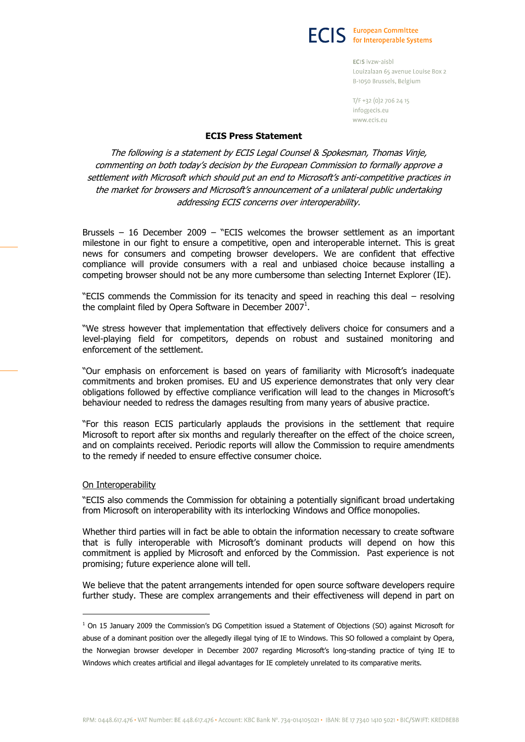**ECIS** European Committee

ECIS ivzw-aisbl Louizalaan 65 avenue Louise Box 2 B-1050 Brussels, Belgium

T/F +32 (0) 2 7 0 6 2 4 15 inforaecis.eu www.ecis.eu

## **ECIS Press Statement**

The following is a statement by ECIS Legal Counsel & Spokesman, Thomas Vinje, commenting on both today's decision by the European Commission to formally approve a settlement with Microsoft which should put an end to Microsoft's anti-competitive practices in the market for browsers and Microsoft's announcement of a unilateral public undertaking addressing ECIS concerns over interoperability.

Brussels – 16 December 2009 – "ECIS welcomes the browser settlement as an important milestone in our fight to ensure a competitive, open and interoperable internet. This is great news for consumers and competing browser developers. We are confident that effective compliance will provide consumers with a real and unbiased choice because installing a competing browser should not be any more cumbersome than selecting Internet Explorer (IE).

"ECIS commends the Commission for its tenacity and speed in reaching this deal – resolving the complaint filed by Opera Software in December 2007<sup>1</sup>.

"We stress however that implementation that effectively delivers choice for consumers and a level-playing field for competitors, depends on robust and sustained monitoring and enforcement of the settlement.

"Our emphasis on enforcement is based on years of familiarity with Microsoft's inadequate commitments and broken promises. EU and US experience demonstrates that only very clear obligations followed by effective compliance verification will lead to the changes in Microsoft's behaviour needed to redress the damages resulting from many years of abusive practice.

"For this reason ECIS particularly applauds the provisions in the settlement that require Microsoft to report after six months and regularly thereafter on the effect of the choice screen, and on complaints received. Periodic reports will allow the Commission to require amendments to the remedy if needed to ensure effective consumer choice.

## On Interoperability

 $\overline{a}$ 

"ECIS also commends the Commission for obtaining a potentially significant broad undertaking from Microsoft on interoperability with its interlocking Windows and Office monopolies.

Whether third parties will in fact be able to obtain the information necessary to create software that is fully interoperable with Microsoft's dominant products will depend on how this commitment is applied by Microsoft and enforced by the Commission. Past experience is not promising; future experience alone will tell.

We believe that the patent arrangements intended for open source software developers require further study. These are complex arrangements and their effectiveness will depend in part on

 $1$  On 15 January 2009 the Commission's DG Competition issued a Statement of Objections (SO) against Microsoft for abuse of a dominant position over the allegedly illegal tying of IE to Windows. This SO followed a complaint by Opera, the Norwegian browser developer in December 2007 regarding Microsoft's long-standing practice of tying IE to Windows which creates artificial and illegal advantages for IE completely unrelated to its comparative merits.